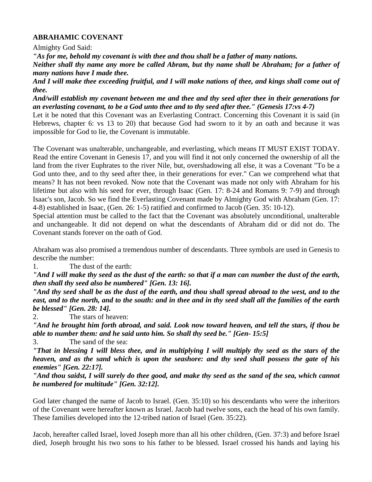# **ABRAHAMIC COVENANT**

Almighty God Said:

*"As for me, behold my covenant is with thee and thou shall be a father of many nations.*

Neither shall thy name any more be called Abram, but thy name shall be Abraham; for a father of *many nations have I made thee.*

And I will make thee exceeding fruitful, and I will make nations of thee, and kings shall come out of *thee.*

*And/will establish my covenant between me and thee and thy seed after thee in their generations for an everlasting covenant, to be a God unto thee and to thy seed after thee." (Genesis 17:vs 4-7)*

Let it be noted that this Covenant was an Everlasting Contract. Concerning this Covenant it is said (in Hebrews, chapter 6: vs 13 to 20) that because God had sworn to it by an oath and because it was impossible for God to lie, the Covenant is immutable.

The Covenant was unalterable, unchangeable, and everlasting, which means IT MUST EXIST TODAY. Read the entire Covenant in Genesis 17, and you will find it not only concerned the ownership of all the land from the river Euphrates to the river Nile, but, overshadowing all else, it was a Covenant "To be a God unto thee, and to thy seed after thee, in their generations for ever." Can we comprehend what that means? It has not been revoked. Now note that the Covenant was made not only with Abraham for his lifetime but also with his seed for ever, through Isaac (Gen. 17: 8-24 and Romans 9: 7-9) and through Isaac's son, Jacob. So we find the Everlasting Covenant made by Almighty God with Abraham (Gen. 17: 4-8) established in Isaac, (Gen. 26: 1-5) ratified and confirmed to Jacob (Gen. 35: 10-12).

Special attention must be called to the fact that the Covenant was absolutely unconditional, unalterable and unchangeable. It did not depend on what the descendants of Abraham did or did not do. The Covenant stands forever on the oath of God.

Abraham was also promised a tremendous number of descendants. Three symbols are used in Genesis to describe the number:

1. The dust of the earth:

"And I will make thy seed as the dust of the earth: so that if a man can number the dust of the earth, *then shall thy seed also be numbered" [Gen. 13: 16].*

"And thy seed shall be as the dust of the earth, and thou shall spread abroad to the west, and to the east, and to the north, and to the south: and in thee and in thy seed shall all the families of the earth *be blessed" [Gen. 28: 14].*

2. The stars of heaven:

"And he brought him forth abroad, and said. Look now toward heaven, and tell the stars, if thou be *able to number them: and he said unto him. So shall thy seed be." [Gen- 15:5]* 3. The sand of the sea:

"That in blessing I will bless thee, and in multiplying I will multiply thy seed as the stars of the heaven, and as the sand which is upon the seashore: and thy seed shall possess the gate of his *enemies" [Gen. 22:17].*

"And thou saidst, I will surely do thee good, and make thy seed as the sand of the sea, which cannot *be numbered for multitude" [Gen. 32:12].*

God later changed the name of Jacob to Israel. (Gen. 35:10) so his descendants who were the inheritors of the Covenant were hereafter known as Israel. Jacob had twelve sons, each the head of his own family. These families developed into the 12-tribed nation of Israel (Gen. 35:22).

Jacob, hereafter called Israel, loved Joseph more than all his other children, (Gen. 37:3) and before Israel died, Joseph brought his two sons to his father to be blessed. Israel crossed his hands and laying his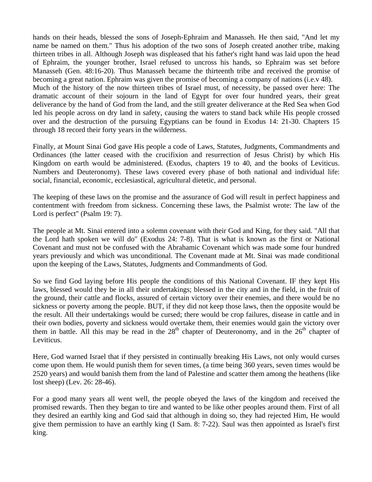hands on their heads, blessed the sons of Joseph-Ephraim and Manasseh. He then said, "And let my name be named on them." Thus his adoption of the two sons of Joseph created another tribe, making thirteen tribes in all. Although Joseph was displeased that his father's right hand was laid upon the head of Ephraim, the younger brother, Israel refused to uncross his hands, so Ephraim was set before Manasseh (Gen. 48:16-20). Thus Manasseh became the thirteenth tribe and received the promise of becoming a great nation. Ephraim was given the promise of becoming a company of nations (i.e.v 48). Much of the history of the now thirteen tribes of Israel must, of necessity, be passed over here: The dramatic account of their sojourn in the land of Egypt for over four hundred years, their great deliverance by the hand of God from the land, and the still greater deliverance at the Red Sea when God led his people across on dry land in safety, causing the waters to stand back while His peoplecrossed over and the destruction of the pursuing Egyptians can be found in Exodus 14: 21-30. Chapters 15 through 18 record their forty years in the wilderness.

Finally, at Mount Sinai God gave His people a code of Laws, Statutes, Judgments, Commandments and Ordinances (the latter ceased with the crucifixion and resurrection of Jesus Christ) by which His Kingdom on earth would be administered. (Exodus, chapters 19 to 40, and the books of Leviticus. Numbers and Deuteronomy). These laws covered every phase of both national and individual life: social, financial, economic, ecclesiastical, agricultural dietetic, and personal.

The keeping of these laws on the promise and the assurance of God will result in perfect happiness and contentment with freedom from sickness. Concerning these laws, the Psalmist wrote: The law of the Lord is perfect" (Psalm 19: 7).

The people at Mt. Sinai entered into a solemn covenant with their God and King, for they said. "All that the Lord hath spoken we will do" (Exodus 24: 7-8). That is what is known as the first or National Covenant and must not be confused with the Abrahamic Covenant which was made some four hundred years previously and which was unconditional. The Covenant made at Mt. Sinai was made conditional upon the keeping of the Laws, Statutes, Judgments and Commandments of God.

So we find God laying before His people the conditions of this National Covenant. IF they kept His laws, blessed would they be in all their undertakings; blessed in the city and in the field, in the fruit of the ground, their cattle and flocks, assured of certain victory over their enemies, and there would be no sickness or poverty among the people. BUT, if they did not keep those laws, then the opposite would be the result. All their undertakings would be cursed; there would be crop failures, disease in cattle and in their own bodies, poverty and sickness would overtake them, their enemies would gain the victory over them in battle. All this may be read in the  $28<sup>th</sup>$  chapter of Deuteronomy, and in the  $26<sup>th</sup>$  chapter of  $th$  obentor of chapter of Leviticus.

Here, God warned Israel that if they persisted in continually breaking His Laws, not only would curses come upon them. He would punish them for seven times, (a time being 360 years, seven times would be 2520 years) and would banish them from the land of Palestine and scatter them among the heathens (like lost sheep) (Lev. 26: 28-46).

For a good many years all went well, the people obeyed the laws of the kingdom and received the promised rewards. Then they began to tire and wanted to be like other peoples around them. First of all they desired an earthly king and God said that although in doing so, they had rejected Him, He would give them permission to have an earthly king (I Sam. 8: 7-22). Saul was then appointed as Israel's first king.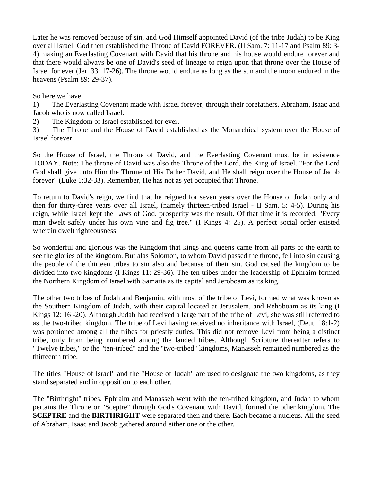Later he was removed because of sin, and God Himself appointed David (of the tribe Judah) to be King over all Israel. God then established the Throne of David FOREVER. (II Sam. 7: 11-17 and Psalm 89: 3- 4) making an Everlasting Covenant with David that his throne and his house would endure forever and that there would always be one of David's seed of lineage to reign upon that throne over the House of Israel for ever (Jer. 33: 17-26). The throne would endure as long as the sun and the moon endured in the heavens (Psalm 89: 29-37).

So here we have:

1) The Everlasting Covenant made with Israel forever, through their forefathers. Abraham, Isaac and Jacob who is now called Israel.

2) The Kingdom of Israel established for ever.

3) The Throne and the House of David established as the Monarchical system over the House of Israel forever.

So the House of Israel, the Throne of David, and the Everlasting Covenant must be in existence TODAY. Note: The throne of David was also the Throne of the Lord, the King of Israel. "For the Lord God shall give unto Him the Throne of His Father David, and He shall reign over the House of Jacob forever" (Luke 1:32-33). Remember, He has not as yet occupied that Throne.

To return to David's reign, we find that he reigned for seven years over the House of Judah only and then for thirty-three years over all Israel, (namely thirteen-tribed Israel- II Sam. 5: 4-5). During his reign, while Israel kept the Laws of God, prosperity was the result. Of that time it is recorded. "Every man dwelt safely under his own vine and fig tree." (I Kings 4: 25). A perfect social order existed wherein dwelt righteousness.

So wonderful and glorious was the Kingdom that kings and queens came from all parts of the earth to see the glories of the kingdom. But alas Solomon, to whom David passed the throne, fell into sin causing the people of the thirteen tribes to sin also and because of their sin. God caused the kingdom to be divided into two kingdoms (I Kings 11: 29-36). The ten tribes under the leadership of Ephraim formed the Northern Kingdom of Israel with Samaria as its capital and Jeroboam as its king.

The other two tribes of Judah and Benjamin, with most of the tribe of Levi, formed what was known as the Southern Kingdom of Judah, with their capital located at Jerusalem, and Rehoboam as its king (I Kings 12: 16 -20). Although Judah had received a large part of the tribe of Levi, she was still referred to as the two-tribed kingdom. The tribe of Levi having received no inheritance with Israel, (Deut. 18:1-2) was portioned among all the tribes for priestly duties. This did not remove Levi from being a distinct tribe, only from being numbered among the landed tribes. Although Scripture thereafter refers to "Twelve tribes," or the "ten-tribed" and the "two-tribed" kingdoms, Manasseh remained numbered as the thirteenth tribe.

The titles "House of Israel" and the "House of Judah" are used to designate the two kingdoms, as they stand separated and in opposition to each other.

The "Birthright" tribes, Ephraim and Manasseh went with the ten-tribed kingdom, and Judah to whom pertains the Throne or "Sceptre" through God's Covenant with David, formed the other kingdom.The **SCEPTRE** and the **BIRTHRIGHT** were separated then and there. Each became a nucleus. All the seed of Abraham, Isaac and Jacob gathered around either one or the other.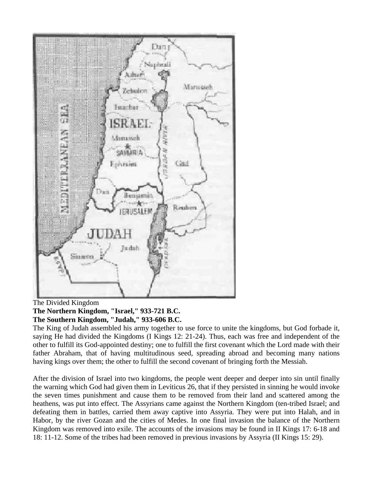

The Divided Kingdom **The Northern Kingdom, "Israel," 933-721 B.C. The Southern Kingdom, "Judah," 933-606 B.C.**

The King of Judah assembled his army together to use force to unite the kingdoms, but God forbade it, saying He had divided the Kingdoms (I Kings 12: 21-24). Thus, each was free and independent of the other to fulfill its God-appointed destiny; one to fulfill the first covenant which the Lord made with their father Abraham, that of having multitudinous seed, spreading abroad and becoming many nations having kings over them; the other to fulfill the second covenant of bringing forth the Messiah.

After the division of Israel into two kingdoms, the people went deeper and deeper into sin until finally the warning which God had given them in Leviticus 26, that if they persisted in sinning he would invoke the seven times punishment and cause them to be removed from their land and scattered among the heathens, was put into effect. The Assyrians came against the Northern Kingdom (ten-tribed Israel; and defeating them in battles, carried them away captive into Assyria. They were put into Halah, and in Habor, by the river Gozan and the cities of Medes. In one final invasion the balance of the Northern Kingdom was removed into exile. The accounts of the invasions may be found in II Kings 17:6-18 and 18: 11-12. Some of the tribes had been removed in previous invasions by Assyria (II Kings 15: 29).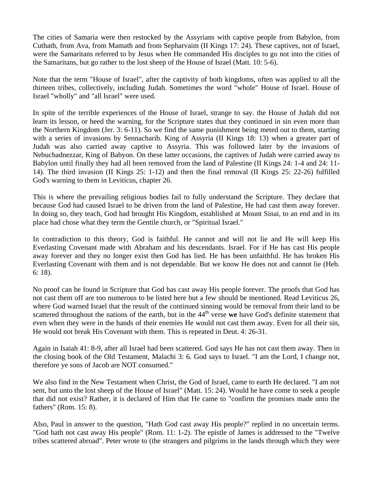The cities of Samaria were then restocked by the Assyrians with captive people from Babylon, from Cuthath, from Ava, from Mamath and from Sepharvaim (II Kings 17: 24). These captives, not of Israel, were the Samaritans referred to by Jesus when He commanded His disciples to go not into the cities of the Samaritans, but go rather to the lost sheep of the House of Israel (Matt. 10: 5-6).

Note that the term "House of Israel", after the captivity of both kingdoms, often was applied to all the thirteen tribes, collectively, including Judah. Sometimes the word "whole" House of Israel. House of Israel "wholly" and "all Israel" were used.

In spite of the terrible experiences of the House of Israel, strange to say. the House of Judah did not learn its lesson, or heed the warning, for the Scripture states that they continued in sin even more than the Northern Kingdom (Jer. 3: 6-11). So we find the same punishment being meted out to them, starting with a series of invasions by Sennacharib. King of Assyria (II Kings 18:13) when a greater part of Judah was also carried away captive to Assyria. This was followed later by the invasions of Nebuchadnezzar, King of Babyon. On these latter occasions, the captives of Judah were carried away to Babylon until finally they had all been removed from the land of Palestine (II Kings 24:1-4 and 24: 11- 14). The third invasion (II Kings 25: 1-12) and then the final removal (II Kings 25: 22-26) fulfilled God's warning to them in Leviticus, chapter 26.

This is where the prevailing religious bodies fail to fully understand the Scripture. They declare that because God had caused Israel to be driven from the land of Palestine, He had cast them away forever. In doing so, they teach, God had brought His Kingdom, established at Mount Sinai, to an end and in its place had chose what they term the Gentile church, or "Spiritual Israel."

In contradiction to this theory, God is faithful. He cannot and will not lie and He will keep His Everlasting Covenant made with Abraham and his descendants. Israel. For if He has cast His people away forever and they no longer exist then God has lied. He has been unfaithful. He has broken His Everlasting Covenant with them and is not dependable. But we know He does not and cannot lie (Heb. 6: 18).

No proof can be found in Scripture that God has cast away His people forever. The proofs thatGod has not cast them off are too numerous to be listed here but a few should be mentioned. Read Leviticus 26, where God warned Israel that the result of the continued sinning would be removal from their land to be scattered throughout the nations of the earth, but in the 44<sup>th</sup> verse we have God's definite statement that even when they were in the hands of their enemies He would not cast them away. Even for all their sin, He would not break His Covenant with them. This is repeated in Deut. 4: 26-31.

Again in Isaiah 41: 8-9, after all Israel had been scattered. God says Hehas not cast them away. Then in the closing book of the Old Testament, Malachi 3: 6. God says to Israel. "I am the Lord, I change not, therefore ye sons of Jacob are NOT consumed."

We also find in the New Testament when Christ, the God of Israel, came to earth He declared. "I am not sent, but unto the lost sheep of the House of Israel" (Matt. 15: 24). Would he have come to seek a people that did not exist? Rather, it is declared of Him that He came to "confirm the promises made unto the fathers" (Rom. 15: 8).

Also, Paul in answer to the question, "Hath God cast away His people?" replied in no uncertain terms. "God hath not cast away His people" (Rom. 11: 1-2). The epistle of James is addressed to the "Twelve tribes scattered abroad". Peter wrote to (the strangers and pilgrims in the lands through which they were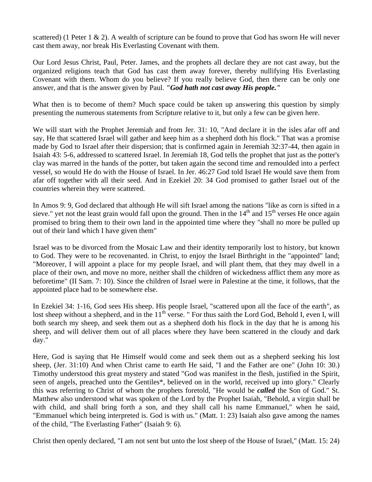scattered) (1 Peter 1  $\&$  2). A wealth of scripture can be found to prove that God has sworn He will never cast them away, nor break His Everlasting Covenant with them.

Our Lord Jesus Christ, Paul, Peter. James, and the prophets all declare they are not cast away, but the organized religions teach that God has cast them away forever, thereby nullifying His Everlasting Covenant with them. Whom do you believe? If you really believe God, then there can be only one answer, and that is the answer given by Paul. *"God hath not cast away His people."*

What then is to become of them? Much space could be taken up answering this question by simply presenting the numerous statements from Scripture relative to it, but only a few can be given here.

We will start with the Prophet Jeremiah and from Jer. 31: 10, "And declare it in the isles afar off and say, He that scattered Israel will gather and keep him as a shepherd doth his flock." That was a promise made by God to Israel after their dispersion; that is confirmed again in Jeremiah 32:37-44, then again in Isaiah 43: 5-6, addressed to scattered Israel. In Jeremiah 18, God tells the prophet that just as the potter's clay was marred in the hands of the potter, but taken again the second time and remoulded into a perfect vessel, so would He do with the House of Israel. In Jer. 46:27 God told Israel He would save them from afar off together with all their seed. And in Ezekiel 20: 34 God promised to gather Israel out of the countries wherein they were scattered.

In Amos 9: 9, God declared that although He will sift Israel among the nations "like as corn is sifted in a sieve." vet not the least grain would fall upon the ground. Then in the  $14<sup>th</sup>$  and  $15<sup>th</sup>$  verses He once again promised to bring them to their own land in the appointed time where they "shall no more be pulled up out of their land which I have given them"

Israel was to be divorced from the Mosaic Law and their identity temporarily lost to history, but known to God. They were to be recovenanted. in Christ, to enjoy the Israel Birthright in the "appointed" land; "Moreover, I will appoint a place for my people Israel, and will plant them, that they may dwell in a place of their own, and move no more, neither shall the children of wickednessafflict them any more as beforetime" (II Sam. 7: 10). Since the children of Israel were in Palestine at the time, it follows, that the appointed place had to be somewhere else.

In Ezekiel 34: 1-16, God sees His sheep. His people Israel, "scattered upon all the face of the earth", as lost sheep without a shepherd, and in the 11<sup>th</sup> verse. " For thus saith the Lord God, Behold I, even I, will both search my sheep, and seek them out as a shepherd doth his flock in the day that he is among his sheep, and will deliver them out of all places where they have been scattered in the cloudy and dark day."

Here, God is saying that He Himself would come and seek them out as a shepherd seeking his lost sheep, (Jer. 31:10) And when Christ came to earth He said, "I and the Father are one" (John 10: 30.) Timothy understood this great mystery and stated "God was manifest in the flesh, justified in the Spirit, seen of angels, preached unto the Gentiles\*, believed on in the world, received up into glory."Clearly this was referring to Christ of whom the prophets foretold, "He would be *called* the Son of God." St. Matthew also understood what was spoken of the Lord by the Prophet Isaiah, "Behold, a virgin shall be with child, and shall bring forth a son, and they shall call his name Emmanuel," when he said, "Emmanuel which being interpreted is. God is with us." (Matt. 1: 23) Isaiah also gave among the names of the child, "The Everlasting Father" (Isaiah 9: 6).

Christ then openly declared, "I am not sent but unto the lost sheep of the House of Israel," (Matt. 15: 24)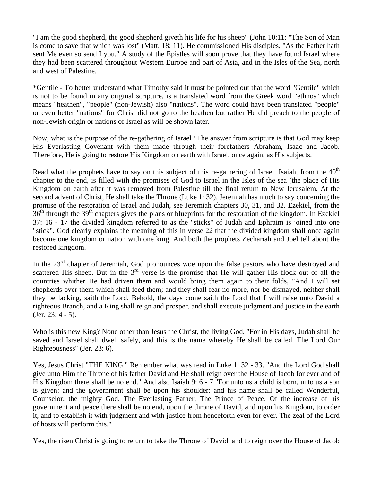"I am the good shepherd, the good shepherd giveth his life for his sheep" (John 10:11; "The Son of Man is come to save that which was lost" (Matt. 18: 11). He commissioned His disciples, "As the Father hath sent Me even so send I you." A study of the Epistles will soon prove that they have found Israel where they had been scattered throughout Western Europe and part of Asia, and in the Isles of the Sea, north and west of Palestine.

\*Gentile - To better understand what Timothy said it must be pointed out that the word "Gentile" which is not to be found in any original scripture, is a translated word from the Greek word "ethnos" which means "heathen", "people" (non-Jewish) also "nations". The word could have been translated "people" or even better "nations" for Christ did not go to the heathen but rather He did preach to the people of non-Jewish origin or nations of Israel as will be shown later.

Now, what is the purpose of the re-gathering of Israel? The answer from scripture is that God may keep His Everlasting Covenant with them made through their forefathers Abraham, Isaac and Jacob. Therefore, He is going to restore His Kingdom on earth with Israel, once again, as His subjects.

Read what the prophets have to say on this subject of this re-gathering of Israel. Isaiah, from the  $40<sup>th</sup>$ th chapter to the end, is filled with the promises of God to Israel in the Isles of the sea (the place of His Kingdom on earth after it was removed from Palestine till the final return to New Jerusalem. At the second advent of Christ, He shall take the Throne (Luke 1: 32). Jeremiah has much to say concerning the promise of the restoration of Israel and Judah, see Jeremiah chapters 30, 31, and 32. Ezekiel, from the  $36<sup>th</sup>$  through the  $39<sup>th</sup>$  chapters gives the plans or blueprints for the restoration of the kingdom. In Ezekiel 37: 16 - 17 the divided kingdom referred to as the "sticks" of Judah and Ephraim is joined into one "stick". God clearly explains the meaning of this in verse 22 that the divided kingdom shall once again become one kingdom or nation with one king. And both the prophets Zechariah and Joel tell about the restored kingdom.

In the 23<sup>rd</sup> chapter of Jeremiah, God pronounces woe upon the false pastors who have destroyed and scattered His sheep. But in the  $3<sup>rd</sup>$  verse is the promise that He will gather His flock out of all the countries whither He had driven them and would bring them again to their folds, "And I will set shepherds over them which shall feed them; and they shall fear no more, nor be dismayed, neither shall they be lacking, saith the Lord. Behold, the days come saith the Lord that I will raise unto David a righteous Branch, and a King shall reign and prosper, and shall execute judgment and justice in the earth  $(Jer. 23: 4 - 5).$ 

Who is this new King? None other than Jesus the Christ, the living God. "For in His days, Judah shall be saved and Israel shall dwell safely, and this is the name whereby He shall be called. The Lord Our Righteousness" (Jer. 23: 6).

Yes, Jesus Christ "THE KING." Remember what was read in Luke 1: 32 - 33. "And the Lord God shall give unto Him the Throne of his father David and He shall reign over the House of Jacob for ever and of His Kingdom there shall be no end." And also Isaiah 9: 6 - 7 "For unto us a child is born, unto us a son is given: and the government shall be upon his shoulder: and his name shall be called Wonderful, Counselor, the mighty God, The Everlasting Father, The Prince of Peace. Of the increase of his government and peace there shall be no end, upon the throne of David, and upon his Kingdom, to order it, and to establish it with judgment and with justice from henceforth even for ever. The zeal of the Lord of hosts will perform this."

Yes, the risen Christ is going to return to take the Throne of David, and to reign over the House of Jacob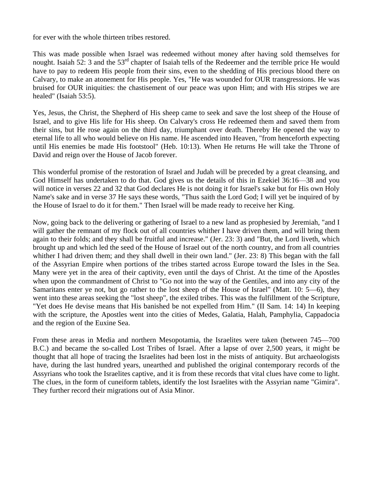for ever with the whole thirteen tribes restored.

This was made possible when Israel was redeemed without money after having sold themselves for nought. Isaiah  $52: 3$  and the  $53<sup>rd</sup>$  chapter of Isaiah tells of the Redeemer and the terrible price He would have to pay to redeem His people from their sins, even to the shedding of His precious blood there on Calvary, to make an atonement for His people. Yes, "He was wounded for OUR transgressions. He was bruised for OUR iniquities: the chastisement of our peace was upon Him; and with His stripes we are healed" (Isaiah 53:5).

Yes, Jesus, the Christ, the Shepherd of His sheep came to seek and save the lost sheep of the House of Israel, and to give His life for His sheep. On Calvary's cross He redeemed them and saved them from their sins, but He rose again on the third day, triumphant over death. Thereby He opened the way to eternal life to all who would believe on His name. He ascended into Heaven, "from henceforth expecting until His enemies be made His footstool"(Heb. 10:13). When He returns He will take the Throne of David and reign over the House of Jacob forever.

This wonderful promise of the restoration of Israel and Judah will be preceded by a great cleansing, and God Himself has undertaken to do that. God gives us the details of this in Ezekiel 36:16–38 and you will notice in verses 22 and 32 that God declares He is not doing it for Israel's sake but for His own Holy Name's sake and in verse 37 He says these words, "Thus saith the Lord God; I will yet be inquired of by the House of Israel to do it for them." Then Israel will be made ready to receive her King.

Now, going back to the delivering or gathering of Israel to a new land as prophesied by Jeremiah, "and I will gather the remnant of my flock out of all countries whither I have driven them, and will bring them again to their folds; and they shall be fruitful and increase." (Jer. 23: 3) and "But, the Lord liveth, which brought up and which led the seed of the House of Israel out of the north country, and from all countries whither I had driven them; and they shall dwell in their own land." (Jer. 23: 8) This began with the fall of the Assyrian Empire when portions of the tribes started across Europe toward the Isles in the Sea. Many were yet in the area of their captivity, even until the days of Christ. At the time of the Apostles when upon the commandment of Christ to "Go not into the way of the Gentiles, and into any city of the Samaritans enter ye not, but go rather to the lost sheep of the House of Israel" (Matt. 10:  $5-6$ ), they went into these areas seeking the "lost sheep", the exiled tribes. This was the fulfillment of the Scripture, "Yet does He devise means that Hisbanished be not expelled from Him." (II Sam. 14: 14) In keeping with the scripture, the Apostles went into the cities of Medes, Galatia, Halah, Pamphylia, Cappadocia and the region of the Euxine Sea.

From these areas in Media and northern Mesopotamia, the Israelites were taken (between 745–700 B.C.) and became the so-called Lost Tribes of Israel. After a lapse of over 2,500 years, it might be thought that all hope of tracing the Israelites had been lost in the mists of antiquity. But archaeologists have, during the last hundred years, unearthed and published the original contemporary records of the Assyrians who took the Israelites captive, and it is from these records that vital clues have come to light. The clues, in the form of cuneiform tablets, identify the lost Israelites with the Assyrian name "Gimira". They further record their migrations out of Asia Minor.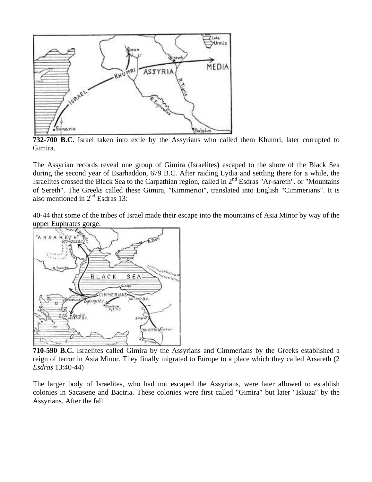

**732-700 B.C.** Israel taken into exile by the Assyrians who called them Khumri, later corrupted to Gimira.

The Assyrian records reveal one group of Gimira (Israelites) escaped to the shore of the Black Sea during the second year of Esarhaddon, 679 B.C. After raiding Lydia and settling there for a while, the Israelites crossed the Black Sea to the Carpathian region, called in  $2<sup>nd</sup>$  Esdras "Ar-sareth". or "Mountains of Sereth". The Greeks called these Gimira, "Kimmerioi", translated into English "Cimmerians". It is also mentioned in  $2<sup>nd</sup>$  Esdras 13:

40-44 that some of the tribes of Israel made their escape into the mountains of Asia Minor by way of the upper Euphrates gorge.



**710-590 B.C.** Israelites called Gimira by the Assyrians and Cimmerians by the Greeks established a reign of terror in Asia Minor. They finally migrated to Europe to a place which they called Arsareth (2 *Esdras* 13:40-44)

The larger body of Israelites, who had not escaped the Assyrians, were later allowed to establish colonies in Sacasene and Bactria. These colonies were first called "Gimira" but later "Iskuza" by the Assyrians. After the fall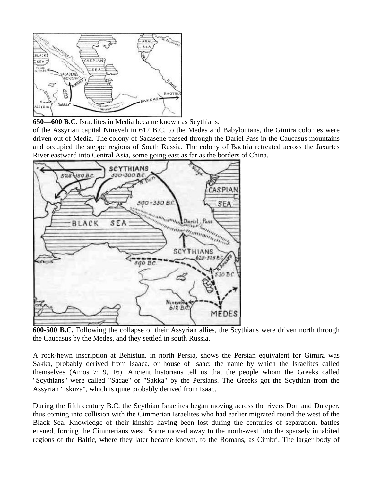

**650 600 B.C.** Israelites in Media became known as Scythians.

of the Assyrian capital Nineveh in 612 B.C. to the Medes and Babylonians, the Gimira colonies were driven out of Media. The colony of Sacasene passed through the Dariel Pass in the Caucasus mountains and occupied the steppe regions of South Russia. The colony of Bactria retreated across the Jaxartes River eastward into Central Asia, some going east as far as the borders of China.



**600-500 B.C.** Following the collapse of their Assyrian allies, the Scythians were driven north through the Caucasus by the Medes, and they settled in south Russia.

A rock-hewn inscription at Behistun. in north Persia, shows the Persian equivalent for Gimira was Sakka, probably derived from Isaaca, or house of Isaac; the name by which the Israelites called themselves (Amos 7: 9, 16). Ancient historians tell us that the people whom the Greeks called "Scythians" were called "Sacae" or "Sakka" by the Persians. The Greeks got the Scythian from the Assyrian "Iskuza", which is quite probably derived from Isaac.

During the fifth century B.C. the Scythian Israelites began moving across the rivers Don and Dnieper, thus coming into collision with the Cimmerian Israelites who had earlier migrated round the west of the Black Sea. Knowledge of their kinship having been lost during the centuries of separation, battles ensued, forcing the Cimmerians west. Some moved away to the north-west into the sparsely inhabited regions of the Baltic, where they later became known, to the Romans, as Cimbri. The larger body of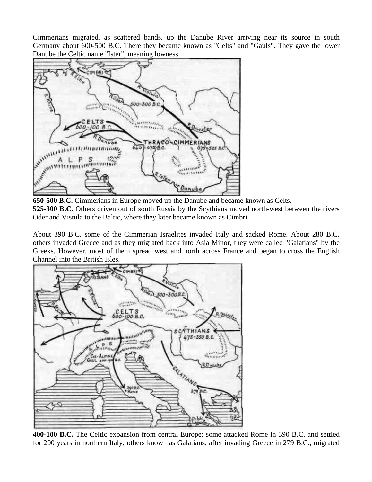Cimmerians migrated, as scattered bands. up the Danube River arriving near its source in south Germany about 600-500 B.C. There they became known as "Celts" and "Gauls". They gave the lower Danube the Celtic name "Ister", meaning lowness.



**650-500 B.C.** Cimmerians in Europe moved up the Danube and became known as Celts. **525-300 B.C.** Others driven out of south Russia by the Scythians moved north-west between the rivers Oder and Vistula to the Baltic, where they later became known as Cimbri.

About 390 B.C. some of the Cimmerian Israelites invaded Italy and sacked Rome. About 280 B.C. others invaded Greece and as they migrated back into Asia Minor, they werecalled "Galatians" by the Greeks. However, most of them spread west and north across France and began to cross the English Channel into the British Isles.



**400-100 B.C.** The Celtic expansion from central Europe: some attacked Rome in 390 B.C. and settled for 200 years in northern Italy; others known as Galatians, after invading Greece in 279 B.C., migrated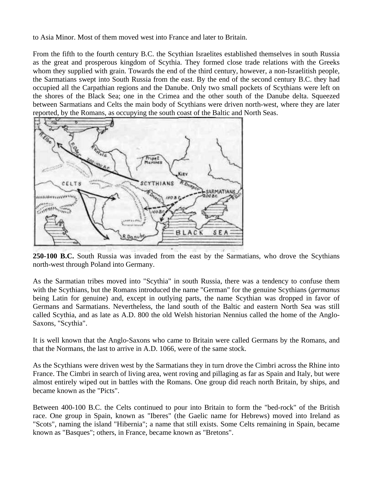to Asia Minor. Most of them moved west into France and later to Britain.

From the fifth to the fourth century B.C. the Scythian Israelites established themselves in south Russia as the great and prosperous kingdom of Scythia. They formed close trade relations with the Greeks whom they supplied with grain. Towards the end of the third century, however, a non-Israelitish people, the Sarmatians swept into South Russia from the east. By the end of the second century B.C. they had occupied all the Carpathian regions and the Danube. Only two small pockets of Scythians were left on the shores of the Black Sea; one in the Crimea and the other south of the Danube delta. Squeezed between Sarmatians and Celts the main body of Scythians were driven north-west, where they are later reported, by the Romans, as occupying the south coast of the Baltic and North Seas.



**250-100 B.C.** South Russia was invaded from the east by the Sarmatians, who drove the Scythians north-west through Poland into Germany.

As the Sarmatian tribes moved into "Scythia" in south Russia, there was a tendency to confuse them with the Scythians, but the Romans introduced the name "German" for the genuine Scythians (*germanus* being Latin for genuine) and, except in outlying parts, the name Scythian was dropped in favor of Germans and Sarmatians. Nevertheless, the land south of the Baltic and eastern North Sea was still called Scythia, and as late as A.D. 800 the old Welsh historian Nennius called the home of the Anglo- Saxons, "Scythia".

It is well known that the Anglo-Saxons who came to Britain were called Germans by the Romans, and that the Normans, the last to arrive in A.D. 1066, were of the same stock.

As the Scythians were driven west by the Sarmatians they in turn drove the Cimbri across the Rhine into France. The Cimbri in search of living area, went roving and pillaging as far as Spain and Italy, but were almost entirely wiped out in battles with the Romans. One group did reach north Britain, by ships, and became known as the "Picts".

Between 400-100 B.C. the Celts continued to pour into Britain to form the "bed-rock" of the British race. One group in Spain, known as "Iberes" (the Gaelic name for Hebrews) moved into Ireland as "Scots", naming the island "Hibernia"; a name that still exists. Some Celts remaining in Spain, became known as "Basques"; others, in France, became known as "Bretons".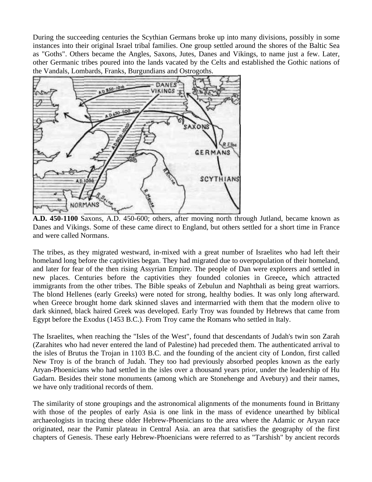During the succeeding centuries the Scythian Germans broke up into many divisions, possibly in some instances into their original Israel tribal families. One group settled around the shores of the Baltic Sea as "Goths". Others became the Angles, Saxons, Jutes, Danes and Vikings, to name just a few. Later, other Germanic tribes poured into the lands vacated by the Celts and established the Gothic nations of the Vandals, Lombards, Franks, Burgundians and Ostrogoths.



**A.D. 450-1100** Saxons, A.D. 450-600; others, after moving north through Jutland, became known as Danes and Vikings. Some of these came direct to England, but others settled for a short time in France and were called Normans.

The tribes, as they migrated westward, in-mixed with a great number of Israelites who had left their homeland long before the captivities began. They had migrated due to overpopulation of their homeland, and later for fear of the then rising Assyrian Empire. The people of Dan were explorers and settled in new places. Centuries before the captivities they founded colonies in Greece**,** which attracted immigrants from the other tribes. The Bible speaks of Zebulun and Naphthali as being great warriors. The blond Hellenes (early Greeks) were noted for strong, healthy bodies. It was only long afterward. when Greece brought home dark skinned slaves and intermarried with them that the modern olive to dark skinned, black haired Greek was developed. Early Troy was founded by Hebrews that came from Egypt before the Exodus (1453 B.C.). From Troy came the Romans who settled in Italy.

The Israelites, when reaching the "Isles of the West", found that descendants of Judah's twin son Zarah (Zarahites who had never entered the land of Palestine) had preceded them. The authenticated arrival to the isles of Brutus the Trojan in 1103 B.C. and the founding of the ancient city of London, first called New Troy is of the branch of Judah. They too had previously absorbed peoples known as the early Aryan-Phoenicians who had settled in the isles over a thousand years prior, under the leadership of Hu Gadarn. Besides their stone monuments (among which are Stonehenge and Avebury) and their names, we have only traditional records of them.

The similarity of stone groupings and the astronomical alignments of the monuments found in Brittany with those of the peoples of early Asia is one link in the mass of evidence unearthed by biblical archaeologists in tracing these older Hebrew-Phoenicians to the area where the Adamic or Aryan race originated, near the Pamir plateau in Central Asia. an area that satisfies the geography of the first chapters of Genesis. These early Hebrew-Phoenicians were referred to as "Tarshish" by ancient records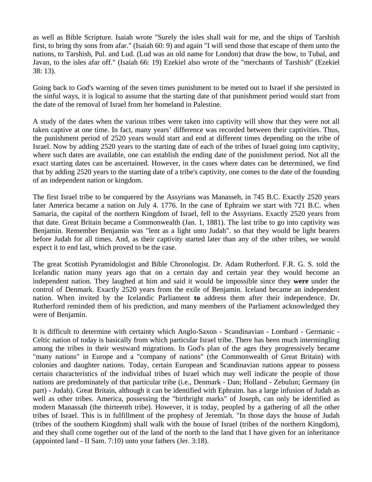as well as Bible Scripture. Isaiah wrote "Surely the isles shall wait for me, and the ships of Tarshish first, to bring thy sons from afar." (Isaiah 60: 9) and again "I will send those that escape of them unto the nations, to Tarshish, Pul. and Lud. (Lud was an old name for London) that draw the bow, to Tubal, and Javan, to the isles afar off."(Isaiah 66: 19) Ezekiel also wrote of the "merchants of Tarshish" (Ezekiel 38: 13).

Going back to God's warning of the seven times punishment to be meted out to Israel if she persisted in the sinful ways, it is logical to assume that the starting date of that punishment period would start from the date of the removal of Israel from her homeland in Palestine.

A study of the dates when the various tribes were taken into captivity will show that they were not all taken captive at one time. In fact, many years' difference was recorded between their captivities. Thus, the punishment period of 2520 years would start and end at different times depending on the tribe of Israel. Now by adding 2520 years to the starting date of each of the tribes of Israel going into captivity, where such dates are available, one can establish the ending date of the punishment period. Not all the exact starting dates can be ascertained. However, in the cases where dates can be determined, we find that by adding 2520 years to the starting date of a tribe's captivity, one comes to the date of the founding of an independent nation or kingdom.

The first Israel tribe to be conquered by the Assyrians was Manasseh, in 745 B.C. Exactly 2520 years later America became a nation on July 4. 1776. In the case of Ephraim we start with 721 B.C. when Samaria, the capital of the northern Kingdom of Israel, fell to the Assyrians. Exactly 2520 years from that date. Great Britain became a Commonwealth (Jan. 1, 1881). The last tribe to go into captivity was Benjamin. Remember Benjamin was "lent as a light unto Judah". so that they would be light bearers before Judah for all times. And, as their captivity started later than any of the other tribes, we would expect it to end last, which proved to be the case.

The great Scottish Pyramidologist and Bible Chronologist. Dr. Adam Rutherford. F.R. G. S. told the Icelandic nation many years ago that on a certain day and certain year they would become an independent nation. They laughed at him and said it would be impossible since they **were** under the control of Denmark. Exactly 2520 years from the exile of Benjamin. Iceland became an independent nation. When invited by the Icelandic Parliament **to** address them after their independence. Dr. Rutherford reminded them of his prediction, and many members of the Parliament acknowledged they were of Benjamin.

It is difficult to determine with certainty which Anglo-Saxon - Scandinavian - Lombard - Germanic - Celtic nation of today is basically from which particular Israel tribe. There has been much intermingling among the tribes in their westward migrations. In God's plan of the ages they progressively became "many nations" in Europe and a "company of nations" (the Commonwealth of Great Britain) with colonies and daughter nations. Today, certain European and Scandinavian nations appear to possess certain characteristics of the individual tribes of Israel which may well indicate the people of those nations are predominately of that particular tribe (i.e., Denmark - Dan; Holland - Zebulun; Germany (in part) - Judah). Great Britain, although it can be identified with Ephraim. has a large infusion of Judah as well as other tribes. America, possessing the "birthright marks" of Joseph, can only be identified as modern Manassah (the thirteenth tribe). However, it is today, peopled by a gathering of all the other tribes of Israel. This is in fulfillment of the prophesy of Jeremiah. "In thosedays the house of Judah (tribes of the southern Kingdom) shall walk with the house of Israel (tribes of the northern Kingdom), and they shall come together out of the land of the north to the land that I have given for an inheritance (appointed land - II Sam. 7:10) unto your fathers (Jer. 3:18).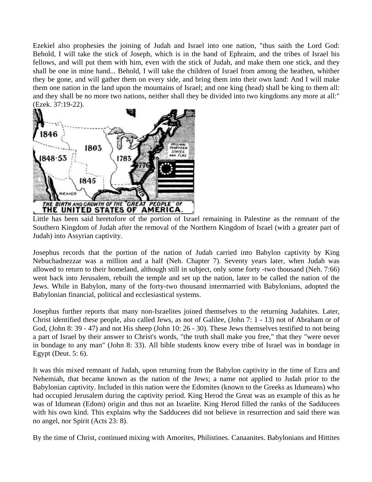Ezekiel also prophesies the joining of Judah and Israel into one nation, "thus saith the Lord God: Behold, I will take the stick of Joseph, which is in the hand of Ephraim, and the tribes of Israel his fellows, and will put them with him, even with the stick of Judah, and make them one stick, and they shall be one in mine hand... Behold, I will take the children of Israel from among the heathen, whither they be gone, and will gather them on every side, and bring them into their own land: And I will make them one nation in the land upon the mountains of Israel; and one king (head) shall be king to them all: and they shall be no more two nations, neither shall they be divided into two kingdoms any more at all:" (Ezek. 37:19-22).



Little has been said heretofore of the portion of Israel remaining in Palestine as the remnant of the Southern Kingdom of Judah after the removal of the Northern Kingdom of Israel (with a greater part of Judah) into Assyrian captivity.

Josephus records that the portion of the nation of Judah carried into Babylon captivity by King Nebuchadnezzar was a million and a half (Neh. Chapter 7). Seventy years later, when Judah was allowed to return to their homeland, although still in subject, only some forty -two thousand (Neh. 7:66) went back into Jerusalem, rebuilt the temple and set up the nation, later to be called the nation of the Jews. While in Babylon, many of the forty-two thousand intermarried with Babylonians, adopted the Babylonian financial, political and ecclesiastical systems.

Josephus further reports that many non-Israelites joined themselves to the returning Judahites. Later, Christ identified these people, also called Jews, as not of Galilee, (John 7: 1 - 13) not of Abraham or of God, (John 8: 39 - 47) and not His sheep (John 10: 26 - 30). These Jews themselves testified to not being a part of Israel by their answer to Christ's words, "the truth shall make you free," that they "were never in bondage to any man" (John 8: 33). All bible students know every tribe of Israel was in bondage in Egypt (Deut. 5: 6).

It was this mixed remnant of Judah, upon returning from the Babylon captivity in the time of Ezra and Nehemiah, that became known as the nation of the Jews; a name not applied to Judah prior to the Babylonian captivity. Included in this nation were the Edomites (known to the Greeks as Idumeans) who had occupied Jerusalem during the captivity period. King Herod the Great was an example of this as he was of Idumean (Edom) origin and thus not an Israelite. King Herod filled the ranks of the Sadducees with his own kind. This explains why the Sadducees did not believe in resurrection and said there was no angel, nor Spirit (Acts 23: 8).

By the time of Christ, continued mixing with Amorites, Philistines. Canaanites. Babylonians and Hittites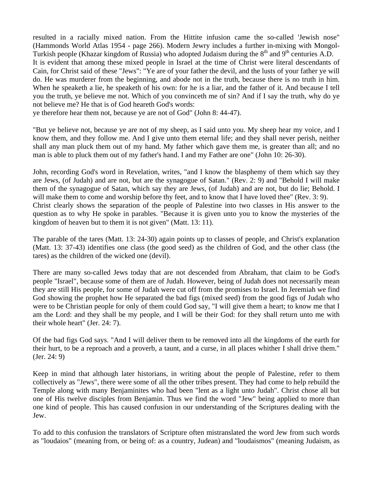resulted in a racially mixed nation. From the Hittite infusion came the so-called 'Jewish nose" (Hammonds World Atlas 1954 - page 266). Modern Jewry includes a further in-mixing with Mongol- Turkish people (Khazar kingdom of Russia) who adopted Judaism during the  $8<sup>th</sup>$  and  $9<sup>th</sup>$  centuries A.D. It is evident that among these mixed people in Israel at the time of Christ were literal descendants of Cain, for Christ said of these "Jews": "Ye are of your father the devil, and the lusts of your father ye will do. He was murderer from the beginning, and abode not in the truth, because there is no truth in him. When he speaketh a lie, he speaketh of his own: for he is a liar, and the father of it. And because I tell you the truth, ye believe me not. Which of you convinceth me of sin? And if I say the truth, why do ye not believe me? He that is of God heareth God's words:

ye therefore hear them not, because ye are not of God" (John 8: 44-47).

"But ye believe not, because ye are not of my sheep, as I said unto you. My sheep hear my voice, and I know them, and they follow me. And I give unto them eternal life; and they shall never perish, neither shall any man pluck them out of my hand. My father which gave them me, is greater than all; and no man is able to pluck them out of my father's hand. I and my Father are one" (John 10: 26-30).

John, recording God's word in Revelation, writes, "and I know the blasphemy of them which say they are Jews, (of Judah) and are not, but are the synagogue of Satan." (Rev. 2: 9) and "Behold I will make them of the synagogue of Satan, which say they are Jews, (of Judah) and are not, but do lie; Behold. I will make them to come and worship before thy feet, and to know that I have loved thee" (Rev. 3: 9). Christ clearly shows the separation of the people of Palestine into two classes in His answer to the question as to why He spoke in parables. "Because it is given unto you to know the mysteries of the kingdom of heaven but to them it is not given" (Matt. 13: 11).

The parable of the tares (Matt. 13: 24-30) again points up to classes of people, and Christ's explanation (Matt. 13: 37-43) identifies one class (the good seed) as the children of God, and the other class (the tares) as the children of the wicked one (devil).

There are many so-called Jews today that are not descended from Abraham, that claim to be God's people "Israel", because some of them are of Judah. However, being of Judah does not necessarily mean they are still His people, for some of Judah were cut off from the promises to Israel. In Jeremiah we find God showing the prophet how He separated the bad figs (mixed seed) from the good figs of Judah who were to be Christian people for only of them could God say, "I will give them a heart; to know me that I am the Lord: and they shall be my people, and I will be their God: for they shall return unto me with their whole heart" (Jer. 24: 7).

Of the bad figs God says. "And I will deliver them to be removed into all the kingdoms of the earth for their hurt, to be a reproach and a proverb, a taunt, and a curse, in all places whither I shall drive them." (Jer. 24: 9)

Keep in mind that although later historians, in writing about the people of Palestine, refer to them collectively as "Jews", there were some of all the other tribes present. They had come to help rebuild the Temple along with many Benjaminites who had been "lent as a light unto Judah". Christ chose all but one of His twelve disciples from Benjamin. Thus we find the word "Jew" being applied to more than one kind of people. This has caused confusion in our understanding of the Scriptures dealing with the Jew.

To add to this confusion the translators of Scripture often mistranslated the word Jew from such words as "loudaios" (meaning from, or being of: as a country, Judean) and "loudaismos" (meaning Judaism, as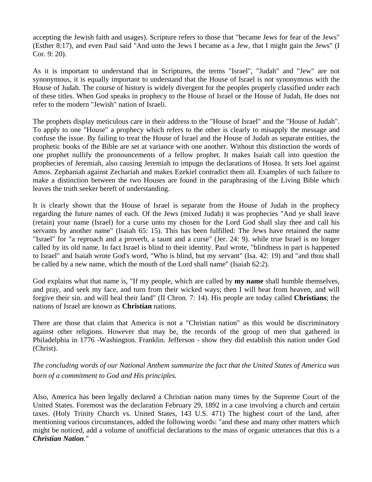accepting the Jewish faith and usages). Scripture refers to those that "became Jews for fear of the Jews" (Esther 8:17), and even Paul said "And unto the Jews I became as a Jew, that I might gain the Jews" (I Cor. 9: 20).

As it is important to understand that in Scriptures, the terms "Israel", "Judah" and "Jew" are not synonymous, it is equally important to understand that the House of Israel is not synonymous with the House of Judah. The course of history is widely divergent for the peoples properly classified under each of these titles. When God speaks in prophecy to the House of Israel or the House of Judah, He does not refer to the modern "Jewish" nation of Israeli.

The prophets display meticulous care in their address to the "House of Israel" and the "House of Judah". To apply to one "House" a prophecy which refers to the other is clearly to misapply the message and confuse the issue. By failing to treat the House of Israel and the House of Judah as separate entities, the prophetic books of the Bible are set at variance with one another. Without this distinction the words of one prophet nullify the pronouncements of a fellow prophet. It makes Isaiah call into question the prophecies of Jeremiah, also causing Jeremiah to impugn the declarations of Hosea. It sets Joel against Amos. Zephaniah against Zechariah and makes Ezekiel contradict them all. Examples of such failure to make a distinction between the two Houses are found in the paraphrasing of the Living Bible which leaves the truth seeker bereft of understanding.

It is clearly shown that the House of Israel is separate from the House of Judah in the prophecy regarding the future names of each. Of the Jews (mixed Judah) it was prophecies "And ye shall leave (retain) your name (Israel) for a curse unto my chosen for the Lord God shall slay thee and call his servants by another name" (Isaiah 65: 15). This has been fulfilled: The Jews have retained the name "Israel" for "a reproach and a proverb, a taunt and a curse" (Jer. 24: 9). while true Israel is no longer called by its old name. In fact Israel is blind to their identity. Paul wrote, "blindness in part is happened to Israel" and Isaiah wrote God's word, "Who is blind, but my servant" (Isa. 42: 19) and "and thou shall be called by a new name, which the mouth of the Lord shall name" (Isaiah 62:2).

God explains what that name is, "If my people, which are called by **my name** shall humble themselves, and pray, and seek my face, and turn from their wicked ways; then I will hear from heaven, and will forgive their sin. and will heal their land" (II Chron. 7: 14). His people are today called **Christians**; the nations of Israel are known as **Christian** nations.

There are those that claim that America is not a "Christian nation" as this would be discriminatory against other religions. However that may be, the records of the group of men that gathered in Philadelphia in 1776 -Washington. Franklin. Jefferson - show they did establish this nation under God (Christ).

*The concluding words of our National Anthem summarize the fact that the United States of America was born of a commitment to God and His principles.*

Also, America has been legally declared a Christian nation many times by the Supreme Court of the United States. Foremost was the declaration February 29, 1892 in a case involving a church and certain taxes. (Holy Trinity Church vs. United States, 143 U.S. 471) The highest court of the land, after mentioning various circumstances, added the following words: "and these and many other matters which might be noticed, add a volume of unofficial declarations to the mass of organic utterances that this is a *Christian Nation.*"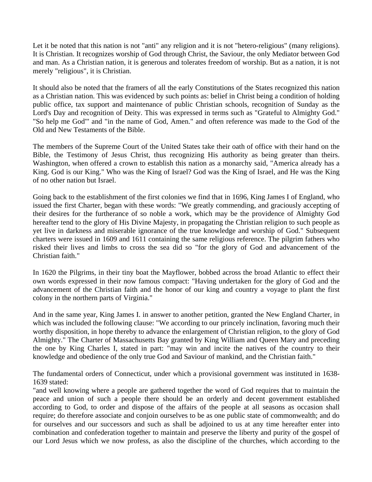Let it be noted that this nation is not "anti" any religion and it is not "hetero-religious" (many religions). It is Christian. It recognizes worship of God through Christ, the Saviour, the only Mediator between God and man. As a Christian nation, it is generous and tolerates freedom of worship. But as a nation, it is not merely "religious", it is Christian.

It should also be noted that the framers of all the early Constitutions of the States recognized this nation as a Christian nation. This was evidenced by such points as: belief in Christ being a condition of holding public office, tax support and maintenance of public Christian schools, recognition of Sunday as the Lord's Day and recognition of Deity. This was expressed in terms such as "Grateful to Almighty God." "So help me God"' and "in the name of God, Amen." and often reference was made to the God of the Old and New Testaments of the Bible.

The members of the Supreme Court of the United States take their oath of office with their hand on the Bible, the Testimony of Jesus Christ, thus recognizing His authority as being greater than theirs. Washington, when offered a crown to establish this nation as a monarchy said, "America already has a King. God is our King." Who was the King of Israel? God was the King of Israel, and He was the King of no other nation but Israel.

Going back to the establishment of the first colonies we find that in 1696, King James I of England, who issued the first Charter, began with these words: "We greatly commending, and graciously accepting of their desires for the furtherance of so noble a work, which may be the providence of Almighty God hereafter tend to the glory of His Divine Majesty, in propagating the Christian religion to such people as yet live in darkness and miserable ignorance of the true knowledge and worship of God." Subsequent charters were issued in 1609 and 1611 containing the same religious reference. The pilgrim fathers who risked their lives and limbs to cross the sea did so "for the glory of God and advancement of the Christian faith."

In 1620 the Pilgrims, in their tiny boat the Mayflower, bobbed across the broad Atlantic to effect their own words expressed in their now famous compact:"Having undertaken for the glory of God and the advancement of the Christian faith and the honor of our king and country a voyage to plant the first colony in the northern parts of Virginia."

And in the same year, King James I. in answer to another petition, granted the New England Charter, in which was included the following clause: "We according to our princely inclination, favoring much their worthy disposition, in hope thereby to advance the enlargement of Christian religion, to the glory of God Almighty." The Charter of Massachusetts Bay granted by King William and Queen Mary and preceding the one by King Charles I, stated in part: "may win and incite the natives of the country to their knowledge and obedience of the only true God and Saviour of mankind, and the Christian faith."

The fundamental orders of Connecticut, under which a provisional government was instituted in 1638- 1639 stated:

"and well knowing where a people are gathered together the word of God requires that to maintain the peace and union of such a people there should be an orderly and decent government established according to God, to order and dispose of the affairs of the people at all seasons as occasion shall require; do therefore associate and conjoin ourselves to be as one public state of commonwealth; and do for ourselves and our successors and such as shall be adjoined to us at any time hereafter enter into combination and confederation together to maintain and preserve the liberty and purity of the gospel of our Lord Jesus which we now profess, as also the discipline of the churches, which according to the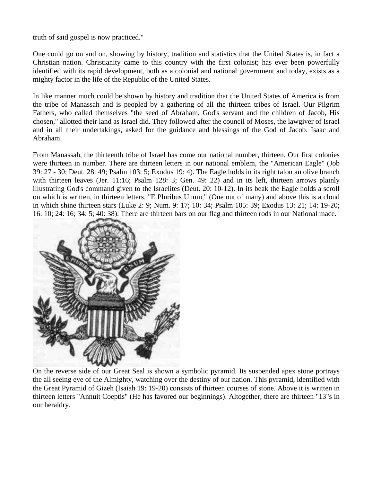truth of said gospel is now practiced."

One could go on and on, showing by history, tradition and statistics that the United States is, in fact a Christian nation. Christianity came to this country with the first colonist; has ever been powerfully identified with its rapid development, both as a colonial and national government and today, exists as a mighty factor in the life of the Republic of the United States.

In like manner much could be shown by history and tradition that the United States of America is from the tribe of Manassah and is peopled by a gathering of all the thirteen tribes of Israel. Our Pilgrim Fathers, who called themselves "the seed of Abraham, God's servant and the children of Jacob, His chosen," allotted their land as Israel did. They followed after the council of Moses, the lawgiver of Israel and in all their undertakings, asked for the guidance and blessings of the God of Jacob. Isaac and Abraham.

From Manassah, the thirteenth tribe of Israel has come our national number, thirteen. Our first colonies were thirteen in number. There are thirteen letters in our national emblem, the "American Eagle" (Job 39: 27 - 30; Deut. 28: 49; Psalm 103: 5; Exodus 19: 4). The Eagle holds in its right talon an olive branch with thirteen leaves (Jer. 11:16; Psalm 128: 3; Gen. 49: 22) and in its left, thirteen arrows plainly illustrating God's command given to the Israelites (Deut. 20: 10-12). In its beak the Eagle holds a scroll on which is written, in thirteen letters. "E Pluribus Unum," (One out of many) and above this is a cloud in which shine thirteen stars (Luke 2: 9; Num. 9: 17; 10: 34; Psalm 105: 39; Exodus 13: 21; 14: 19-20; 16: 10; 24: 16; 34: 5; 40: 38). There are thirteen bars on our flag and thirteen rods in our National mace.



On the reverse side of our Great Seal is shown a symbolic pyramid. Its suspended apex stone portrays the all seeing eye of the Almighty, watching over the destiny of our nation. This pyramid, identified with the Great Pyramid of Gizeh (Isaiah 19: 19-20) consists of thirteen courses of stone. Above it is written in thirteen letters "Annuit Coeptis" (He has favored our beginnings). Altogether, there are thirteen "13"s in our heraldry.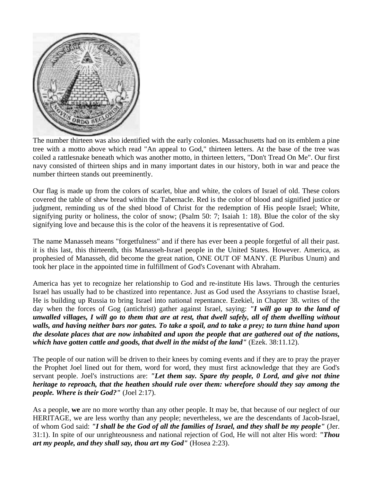

The number thirteen was also identified with the early colonies. Massachusetts had on its emblem a pine tree with a motto above which read "An appeal to God," thirteen letters. At the base of the tree was coiled a rattlesnake beneath which was another motto, in thirteen letters, "Don't Tread On Me". Our first navy consisted of thirteen ships and in many important dates in our history, both in war and peace the number thirteen stands out preeminently.

Our flag is made up from the colors of scarlet, blue and white, the colors of Israelof old. These colors covered the table of shew bread within the Tabernacle. Red is the color of blood and signified justice or judgment, reminding us of the shed blood of Christ for the redemption of His people Israel; White, signifying purity or holiness, the color of snow; (Psalm 50: 7; Isaiah 1: 18). Blue the color of the sky signifying love and because this is the color of the heavens it is representative of God.

The name Manasseh means "forgetfulness" and if there has ever been a people forgetful of all their past. it is this last, this thirteenth, this Manasseh-Israel people in the United States. However. America, as prophesied of Manasseh, did become the great nation, ONE OUT OF MANY. (E Pluribus Unum) and took her place in the appointed time in fulfillment of God's Covenant with Abraham.

America has yet to recognize her relationship to God and re-institute His laws. Through the centuries Israel has usually had to be chastized into repentance. Just as God used the Assyrians to chastise Israel, He is building up Russia to bring Israel into national repentance. Ezekiel, in Chapter 38. writes of the day when the forces of Gog (antichrist) gather against Israel, saying: *"I will go up to the land of* unwalled villages, I will go to them that are at rest, that dwell safely, all of them dwelling without walls, and having neither bars nor gates. To take a spoil, and to take a prey; to turn thine hand upon the desolate places that are now inhabited and upon the people that are gathered out of the nations, *which have gotten cattle and goods, that dwell in the midst of the land"* (Ezek. 38:11.12).

The people of our nation will be driven to their knees by coming events and if they are to pray the prayer the Prophet Joel lined out for them, word for word, they must first acknowledge that they are God's servant people. Joel's instructions are: *"Let them say. Spare thy people, 0 Lord, and give not thine heritage to reproach, that the heathen should rule over them: wherefore should they say among the people. Where is their God?"* (Joel 2:17).

As a people, we are no more worthy than any other people. It may be, that because of our neglect of our HERITAGE, we are less worthy than any people; nevertheless, we are the descendants of Jacob-Israel, of whom God said: *"I shall be the God of all the families of Israel, and they shall be my people"* (Jer. 31:1). In spite of our unrighteousness and national rejection of God, He will not alter His word: *"Thou art my people, and they shall say, thou art my God"* (Hosea 2:23).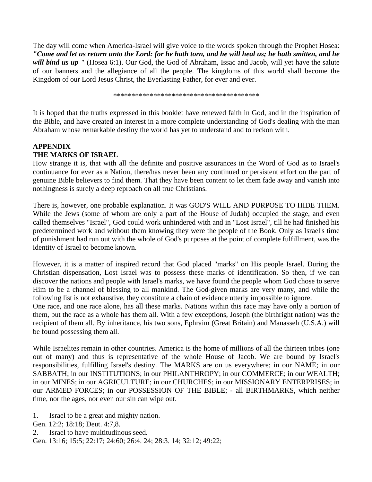The day will come when America-Israel will give voice to the words spoken through the Prophet Hosea: *"Come and let us return unto the Lord: for he hath torn, and he will heal us; he hath smitten, and he will bind us up* " (Hosea 6:1). Our God, the God of Abraham, Issac and Jacob, will yet have the salute of our banners and the allegiance of all the people. The kingdoms of this world shall become the Kingdom of our Lord Jesus Christ, the Everlasting Father, for ever and ever.

\*\*\*\*\*\*\*\*\*\*\*\*\*\*\*\*\*\*\*\*\*\*\*\*\*\*\*\*\*\*\*\*\*\*\*\*\*\*\*\*

It is hoped that the truths expressed in this booklet have renewed faith in God, and in the inspiration of the Bible, and have created an interest in a more complete understanding of God's dealing with the man Abraham whose remarkable destiny the world has yet to understand and to reckon with.

# **APPENDIX THE MARKS OF ISRAEL**

How strange it is, that with all the definite and positive assurances in the Word of God as to Israel's continuance for ever as a Nation, there/has never been any continued or persistent effort on the part of genuine Bible believers to find them. That they have been content to let them fade away and vanish into nothingness is surely a deep reproach on all true Christians.

There is, however, one probable explanation. It was GOD'S WILL AND PURPOSE TO HIDE THEM. While the Jews (some of whom are only a part of the House of Judah) occupied the stage, and even called themselves "Israel", God could work unhindered with and in "Lost Israel", till he had finished his predetermined work and without them knowing they were the people of the Book. Only as Israel's time of punishment had run out with the whole of God's purposes at the point of complete fulfillment, was the identity of Israel to become known.

However, it is a matter of inspired record that God placed "marks" on His people Israel. During the Christian dispensation, Lost Israel was to possess these marks of identification. So then, if we can discover the nations and people with Israel's marks, we have found the people whom God chose to serve Him to be a channel of blessing to all mankind. The God-given marks are very many, and while the following list is not exhaustive, they constitute a chain of evidence utterly impossible to ignore.

One race, and one race alone, has all these marks. Nations within this race may have only a portion of them, but the race as a whole has them all. With a few exceptions, Joseph (the birthright nation) was the recipient of them all. By inheritance, his two sons, Ephraim (Great Britain) and Manasseh (U.S.A.) will be found possessing them all.

While Israelites remain in other countries. America is the home of millions of all the thirteen tribes (one out of many) and thus is representative of the whole House of Jacob. We are bound by Israel's responsibilities, fulfilling Israel's destiny. The MARKS are on us everywhere; in our NAME; in our SABBATH; in our INSTITUTIONS; in our PHILANTHROPY; in our COMMERCE; in our WEALTH; in our MINES; in our AGRICULTURE; in our CHURCHES; in our MISSIONARY ENTERPRISES; in our ARMED FORCES; in our POSSESSION OF THE BIBLE; - all BIRTHMARKS, which neither time, nor the ages, nor even our sin can wipe out.

- 1. Israel to be a great and mighty nation.
- Gen. 12:2; 18:18; Deut. 4:7,8.
- 2. Israel to have multitudinous seed.
- Gen. 13:16; 15:5; 22:17; 24:60; 26:4. 24; 28:3. 14; 32:12; 49:22;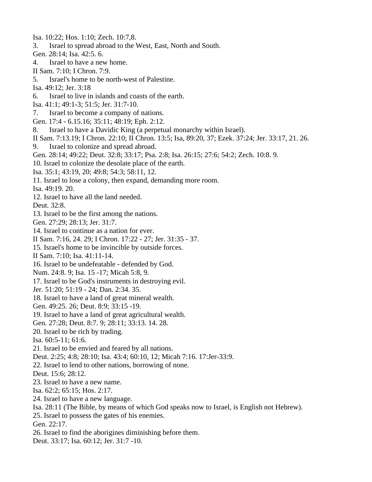- Isa. 10:22; Hos. 1:10; Zech. 10:7,8.
- 3. Israel to spread abroad to the West, East, North and South.
- Gen. 28:14; Isa. 42:5. 6.
- 4. Israel to have a new home.
- II Sam. 7:10; I Chron. 7:9.
- 5. Israel's home to be north-west of Palestine.
- Isa. 49:12; Jer. 3:18
- 6. Israel to live in islands and coasts of the earth.
- Isa. 41:1; 49:1-3; 51:5; Jer. 31:7-10.
- 7. Israel to become a company of nations.
- Gen. 17:4 6.15.16; 35:11; 48:19; Eph. 2:12.
- 8. Israel to have a Davidic King (a perpetual monarchy within Israel).
- II Sam. 7:13.19; I Chron. 22:10; II Chron. 13:5; Isa, 89:20, 37; Ezek. 37:24; Jer. 33:17, 21. 26.
- 9. Israel to colonize and spread abroad.
- Gen. 28:14; 49:22; Deut. 32:8; 33:17; Psa. 2:8; Isa. 26:15; 27:6; 54:2; Zech. 10:8. 9.
- 10. Israel to colonize the desolate place of the earth.
- Isa. 35:1; 43:19, 20; 49:8; 54:3; 58:11, 12.
- 11. Israel to lose a colony, then expand, demanding more room.
- Isa. 49:19. 20.
- 12. Israel to have all the land needed.
- Deut. 32:8.
- 13. Israel to be the first among the nations.
- Gen. 27:29; 28:13; Jer. 31:7.
- 14. Israel to continue as a nation for ever.
- II Sam. 7:16, 24. 29; I Chron. 17:22 27; Jer. 31:35 37.
- 15. Israel's home to be invincible by outside forces.
- II Sam. 7:10; Isa. 41:11-14.
- 16. Israel to be undefeatable defended by God.
- Num. 24:8. 9; Isa. 15 -17; Micah 5:8, 9.
- 17. Israel to be God's instruments in destroying evil.
- Jer. 51:20; 51:19 24; Dan. 2:34. 35.
- 18. Israel to have a land of great mineral wealth.
- Gen. 49:25. 26; Deut. 8:9; 33:15 -19.
- 19. Israel to have a land of great agricultural wealth.
- Gen. 27:28; Deut. 8:7. 9; 28:11; 33:13. 14. 28.
- 20. Israel to be rich by trading.
- Isa. 60:5-11; 61:6.
- 21. Israel to be envied and feared by all nations.
- Deut. 2:25; 4:8; 28:10; Isa. 43:4; 60:10, 12; Micah 7:16. 17:Jer-33:9.
- 22. Israel to lend to other nations, borrowing of none.
- Deut. 15:6; 28:12.
- 23. Israel to have a new name.
- Isa. 62:2; 65:15; Hos. 2:17.
- 24. Israel to have a new language.
- Isa. 28:11 (The Bible, by means of which God speaks now to Israel, is English not Hebrew).
- 25. Israel to possess the gates of his enemies.
- Gen. 22:17.
- 26. Israel to find the aborigines diminishing before them.
- Deut. 33:17; Isa. 60:12; Jer. 31:7 -10.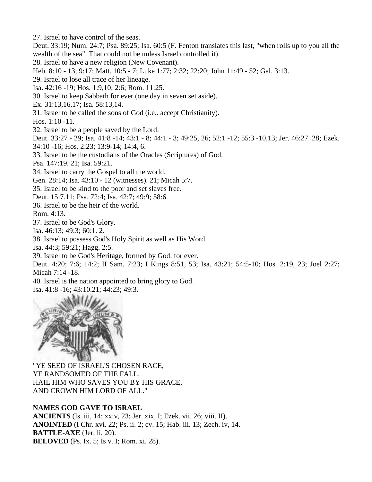27. Israel to have control of the seas. Deut. 33:19; Num. 24:7; Psa. 89:25; Isa. 60:5 (F. Fenton translates this last, "when rolls up to you all the wealth of the sea". That could not be unless Israel controlled it). 28. Israel to have a new religion (New Covenant). Heb. 8:10 - 13; 9:17; Matt. 10:5 - 7; Luke 1:77; 2:32; 22:20; John 11:49 - 52; Gal. 3:13. 29. Israel to lose all trace of her lineage. Isa. 42:16 -19; Hos. 1:9,10; 2:6; Rom. 11:25. 30. Israel to keep Sabbath for ever (one day in seven set aside). Ex. 31:13,16,17; Isa. 58:13,14. 31. Israel to be called the sons of God (i.e.. accept Christianity). Hos. 1:10 -11. 32. Israel to be a people saved by the Lord. Deut. 33:27 - 29; Isa. 41:8 -14; 43:1 - 8; 44:1 - 3; 49:25, 26; 52:1 -12;55:3 -10,13; Jer. 46:27. 28; Ezek. 34:10 -16; Hos. 2:23; 13:9-14; 14:4, 6. 33. Israel to be the custodians of the Oracles (Scriptures) of God. Psa. 147:19. 21; Isa. 59:21. 34. Israel to carry the Gospel to all the world. Gen. 28:14; Isa. 43:10 - 12 (witnesses). 21; Micah 5:7. 35. Israel to be kind to the poor and set slaves free. Deut. 15:7.11; Psa. 72:4; Isa. 42:7; 49:9; 58:6. 36. Israel to be the heir of the world. Rom. 4:13. 37. Israel to be God's Glory. Isa. 46:13; 49:3; 60:1. 2. 38. Israel to possess God's Holy Spirit as well as His Word. Isa. 44:3; 59:21; Hagg. 2:5. 39. Israel to be God's Heritage, formed by God. for ever. Deut. 4:20; 7:6; 14:2; II Sam. 7:23; I Kings 8:51, 53; Isa. 43:21; 54:5-10; Hos. 2:19, 23; Joel 2:27; Micah 7:14 -18. 40. Israel is the nation appointed to bring glory to God. Isa. 41:8 -16; 43:10.21; 44:23; 49:3.



"YE SEED OF ISRAEL'S CHOSEN RACE, YE RANDSOMED OF THE FALL, HAIL HIM WHO SAVES YOU BY HIS GRACE, AND CROWN HIM LORD OF ALL."

# **NAMES GOD GAVE TO ISRAEL**

**ANCIENTS** (Is. iii, 14; xxiv, 23; Jer. xix, I; Ezek. vii. 26; viii. II). **ANOINTED** (I Chr. xvi. 22; Ps. ii. 2; cv. 15; Hab. iii. 13; Zech. iv, 14. **BATTLE-AXE** (Jer. li. 20). **BELOVED** (Ps. Ix. 5; Is v. I; Rom. xi. 28).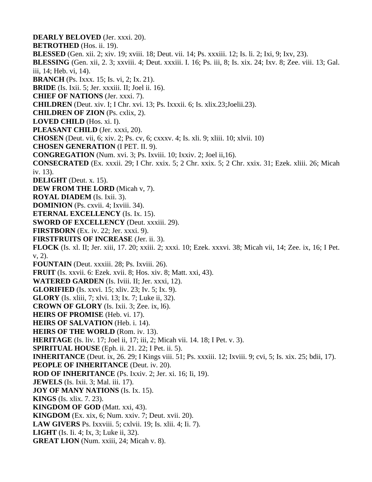**DEARLY BELOVED** (Jer. xxxi. 20). **BETROTHED** (Hos. ii. 19). **BLESSED** (Gen. xii. 2; xiv. 19; xviii. 18; Deut. vii. 14; Ps. xxxiii. 12; Is. li. 2; Ixi, 9; Ixv, 23). **BLESSING** (Gen. xii, 2. 3; xxviii. 4; Deut. xxxiii. I. 16; Ps. iii, 8; Is. xix. 24; Ixv. 8; Zee. viii. 13; Gal. iii, 14; Heb. vi, 14). **BRANCH** (Ps. Ixxx. 15; Is. vi, 2; Ix. 21). **BRIDE** (Is. Ixii. 5; Jer. xxxiii. II; Joel ii. 16). **CHIEF OF NATIONS** (Jer. xxxi. 7). **CHILDREN** (Deut. xiv. I; I Chr. xvi. 13; Ps. Ixxxii. 6; Is. xlix.23;Joelii.23). **CHILDREN OF ZION** (Ps. cxlix, 2). **LOVED CHILD** (Hos. xi. I). **PLEASANT CHILD** (Jer. xxxi, 20). **CHOSEN** (Deut. vii, 6; xiv. 2; Ps. cv, 6; cxxxv. 4; Is. xli. 9; xliii. 10; xlvii. 10) **CHOSEN GENERATION** (I PET. II. 9). **CONGREGATION** (Num. xvi. 3; Ps. Ixviii. 10; Ixxiv. 2; Joel ii,16). **CONSECRATED** (Ex. xxxii. 29; I Chr. xxix. 5; 2 Chr. xxix. 5; 2 Chr. xxix. 31; Ezek. xliii. 26; Micah iv. 13). **DELIGHT** (Deut. x. 15). **DEW FROM THE LORD** (Micah v, 7). **ROYAL DIADEM** (Is. Ixii. 3). **DOMINION** (Ps. cxvii. 4; Ixviii. 34). **ETERNAL EXCELLENCY** (Is. Ix. 15). **SWORD OF EXCELLENCY** (Deut. xxxiii. 29). **FIRSTBORN** (Ex. iv. 22; Jer. xxxi. 9). **FIRSTFRUITS OF INCREASE** (Jer. ii. 3). **FLOCK** (Is. xl. II; Jer. xiii, 17. 20; xxiii. 2; xxxi. 10; Ezek. xxxvi. 38; Micah vii, 14; Zee. ix, 16; I Pet. v, 2). **FOUNTAIN** (Deut. xxxiii. 28; Ps. Ixviii. 26). **FRUIT** (Is. xxvii. 6: Ezek. xvii. 8; Hos. xiv. 8; Matt. xxi, 43). **WATERED GARDEN** (Is. Iviii. II; Jer. xxxi, 12). **GLORIFIED** (Is. xxvi. 15; xliv. 23; Iv. 5; Ix. 9). **GLORY** (Is. xliii, 7; xlvi. 13; Ix. 7; Luke ii, 32). **CROWN OF GLORY** (Is. Ixii. 3; Zee. ix, l6). **HEIRS OF PROMISE** (Heb. vi. 17). **HEIRS OF SALVATION** (Heb. i. 14). **HEIRS OF THE WORLD** (Rom. iv. 13). **HERITAGE** (Is. liv. 17; Joel ii, 17; iii, 2; Micah vii. 14. 18; I Pet. v. 3). **SPIRITUAL HOUSE** (Eph. ii. 21. 22; I Pet. ii. 5). **INHERITANCE** (Deut. ix, 26. 29; I Kings viii. 51; Ps. xxxiii. 12; Ixviii. 9; cvi, 5; Is. xix. 25; bdii, 17). **PEOPLE OF INHERITANCE** (Deut. iv. 20). **ROD OF INHERITANCE** (Ps. Ixxiv. 2; Jer. xi. 16; Ii, 19). **JEWELS** (Is. Ixii. 3; Mal. iii. 17). **JOY OF MANY NATIONS** (Is. Ix. 15). **KINGS** (Is. xlix. 7. 23). **KINGDOM OF GOD** (Matt. xxi, 43). **KINGDOM** (Ex. xix, 6; Num. xxiv. 7; Deut. xvii. 20). **LAW GIVERS** Ps. Ixxviii. 5; cxlvii. 19; Is. xlii. 4; Ii. 7). **LIGHT** (Is. Ii. 4; Ix, 3; Luke ii, 32). **GREAT LION** (Num. xxiii, 24; Micah v. 8).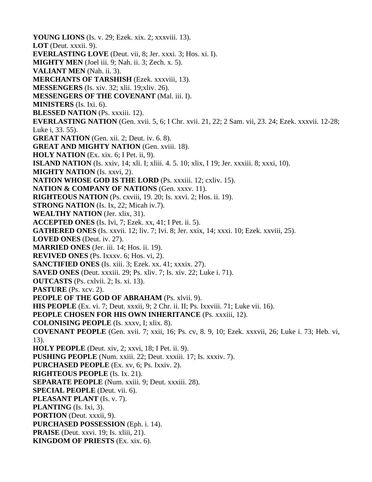**YOUNG LIONS** (Is. v. 29; Ezek. xix. 2; xxxviii. 13). **LOT** (Deut. xxxii. 9). **EVERLASTING LOVE** (Deut. vii, 8; Jer. xxxi. 3; Hos. xi. I). **MIGHTY MEN** (Joel iii. 9; Nah. ii. 3; Zech. x. 5). **VALIANT MEN** (Nah. ii. 3). **MERCHANTS OF TARSHISH** (Ezek. xxxviii, 13). **MESSENGERS** (Is. xiv. 32; xlii. 19;xliv. 26). **MESSENGERS OF THE COVENANT** (Mal. iii. I). **MINISTERS** (Is. Ixi. 6). **BLESSED NATION** (Ps. xxxiii. 12). **EVERLASTING NATION** (Gen. xvii. 5, 6; I Chr. xvii. 21, 22; 2 Sam. vii, 23. 24; Ezek. xxxvii. 12-28; Luke i, 33. 55). **GREAT NATION** (Gen. xii. 2; Deut. iv. 6. 8). **GREAT AND MIGHTY NATION** (Gen. xviii. 18). **HOLY NATION** (Ex. xix. 6; I Pet. ii, 9). **ISLAND NATION** (Is. xxiv, 14; xli. I; xliii. 4. 5. 10; xlix, I 19; Jer. xxxiii. 8; xxxi, 10). **MIGHTY NATION** (Is. xxvi, 2). **NATION WHOSE GOD IS THE LORD** (Ps. xxxiii. 12; cxliv. 15). **NATION & COMPANY OF NATIONS** (Gen. xxxv. 11). **RIGHTEOUS NATION** (Ps. cxviii, 19. 20; Is. xxvi. 2; Hos. ii. 19). **STRONG NATION** (Is. Ix, 22; Micah iv.7). **WEALTHY NATION** (Jer. xlix, 31). **ACCEPTED ONES** (Is. Ivi, 7; Ezek. xx, 41; I Pet. ii. 5). **GATHERED ONES** (Is. xxvii. 12; liv. 7; Ivi. 8; Jer. xxix, 14; xxxi. 10; Ezek. xxviii, 25). **LOVED ONES** (Deut. iv. 27). **MARRIED ONES** (Jer. iii. 14; Hos. ii. 19). **REVIVED ONES** (Ps. Ixxxv. 6; Hos. vi, 2). **SANCTIFIED ONES** (Is. xiii. 3; Ezek. xx. 41; xxxix. 27). **SAVED ONES** (Deut. xxxiii. 29; Ps. xliv. 7; Is. xiv. 22; Luke i. 71). **OUTCASTS** (Ps. cxlvii. 2; Is. xi. 13). **PASTURE** (Ps. xcv. 2). **PEOPLE OF THE GOD OF ABRAHAM** (Ps. xlvii. 9). **HIS PEOPLE** (Ex. vi. 7; Deut. xxxii, 9; 2 Chr. ii. II; Ps. Ixxviii. 71; Luke vii. 16). **PEOPLE CHOSEN FOR HIS OWN INHERITANCE** (Ps. xxxiii, 12). **COLONISING PEOPLE** (Is. xxxv, I; xlix. 8). **COVENANT PEOPLE** (Gen. xvii. 7; xxii, 16; Ps. cv, 8. 9, 10; Ezek. xxxvii, 26; Luke i. 73; Heb. vi, 13). **HOLY PEOPLE** (Deut. xiv, 2; xxvi, 18; I Pet. ii. 9). **PUSHING PEOPLE** (Num. xxiii. 22; Deut. xxxiii. 17; Is. xxxiv. 7). **PURCHASED PEOPLE** (Ex. xv, 6; Ps. Ixxiv. 2). **RIGHTEOUS PEOPLE** (Is. Ix. 21). **SEPARATE PEOPLE** (Num. xxiii. 9; Deut. xxxiii. 28). **SPECIAL PEOPLE** (Deut. vii. 6). **PLEASANT PLANT** (Is. v. 7). **PLANTING** (Is. Ixi, 3). **PORTION** (Deut. xxxii, 9). **PURCHASED POSSESSION** (Eph. i. 14). **PRAISE** (Deut. xxvi. 19; Is. xliii, 21). **KINGDOM OF PRIESTS** (Ex. xix. 6).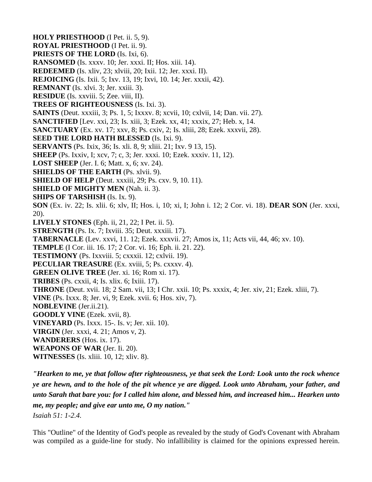**HOLY PRIESTHOOD** (I Pet. ii. 5, 9). **ROYAL PRIESTHOOD** (I Pet. ii. 9). **PRIESTS OF THE LORD** (Is. Ixi, 6). **RANSOMED** (Is. xxxv. 10; Jer. xxxi. II; Hos. xiii. 14). **REDEEMED** (Is. xliv, 23; xlviii, 20; Ixii. 12; Jer. xxxi. II). **REJOICING** (Is. Ixii. 5; Ixv. 13, 19; Ixvi, 10. 14; Jer. xxxii, 42). **REMNANT** (Is. xlvi. 3; Jer. xxiii. 3). **RESIDUE** (Is. xxviii. 5; Zee. viii, II). **TREES OF RIGHTEOUSNESS** (Is. Ixi. 3). **SAINTS** (Deut. xxxiii, 3; Ps. 1, 5; Ixxxv. 8; xcvii, 10; cxlvii, 14; Dan. vii. 27). **SANCTIFIED** [Lev. xxi, 23; Is. xiii, 3; Ezek. xx, 41; xxxix, 27; Heb. x, 14. **SANCTUARY** (Ex. xv. 17; xxv, 8; Ps. cxiv, 2; Is. xliii, 28; Ezek. xxxvii, 28). **SEED THE LORD HATH BLESSED** (Is. Ixi. 9). **SERVANTS** (Ps. Ixix, 36; Is. xli. 8, 9; xliii. 21; Ixv. 9 13, 15). **SHEEP** (Ps. Ixxiv, I; xcv, 7; c, 3; Jer. xxxi. 10; Ezek. xxxiv. 11, 12). **LOST SHEEP** (Jer. I. 6; Matt. x, 6; xv. 24). **SHIELDS OF THE EARTH** (Ps. xlvii. 9). **SHIELD OF HELP** (Deut. xxxiii, 29; Ps. cxv. 9, 10. 11). **SHIELD OF MIGHTY MEN** (Nah. ii. 3). **SHIPS OF TARSHISH** (Is. Ix. 9). **SON** (Ex. iv. 22; Is. xlii. 6; xlv, II; Hos. i, 10; xi, I; John i. 12; 2 Cor. vi. 18). **DEAR SON** (Jer. xxxi, 20). **LIVELY STONES** (Eph. ii, 21, 22; I Pet. ii. 5). **STRENGTH** (Ps. Ix. 7; Ixviii. 35; Deut. xxxiii. 17). **TABERNACLE** (Lev. xxvi, 11. 12; Ezek. xxxvii. 27; Amos ix, 11; Acts vii, 44, 46; xv. 10). **TEMPLE** (I Cor. iii. 16. 17; 2 Cor. vi. 16; Eph. ii. 21. 22). **TESTIMONY** (Ps. Ixxviii. 5; cxxxii. 12; cxlvii. 19). **PECULIAR TREASURE** (Ex. xviii, 5; Ps. cxxxv. 4). **GREEN OLIVE TREE** (Jer. xi. 16; Rom xi. 17). **TRIBES** (Ps. cxxii, 4; Is. xlix. 6; Ixiii. 17). **THRONE** (Deut. xvii. 18; 2 Sam. vii, 13; I Chr. xxii. 10; Ps. xxxix, 4; Jer. xiv, 21; Ezek. xliii, 7). **VINE** (Ps. Ixxx. 8; Jer. vi, 9; Ezek. xvii. 6; Hos. xiv, 7). **NOBLEVINE** (Jer.ii.21). **GOODLY VINE** (Ezek. xvii, 8). **VINEYARD** (Ps. Ixxx. 15-. Is. v; Jer. xii. 10). **VIRGIN** (Jer. xxxi, 4. 21; Amos v, 2). **WANDERERS** (Hos. ix. 17). **WEAPONS OF WAR** (Jer. Ii. 20). **WITNESSES** (Is. xliii. 10, 12; xliv. 8).

"Hearken to me, ye that follow after righteousness, ye that seek the Lord: Look unto the rock whence ye are hewn, and to the hole of the pit whence ye are digged. Look unto Abraham, your father, and *unto Sarah that bare you: for I called him alone, and blessed him, and increased him... Hearken unto me, my people; and give ear unto me, O my nation." Isaiah 51: 1-2.4.*

This "Outline" of the Identity of God's people as revealed by the study of God's Covenant with Abraham was compiled as a guide-line for study. No infallibility is claimed for the opinions expressed herein.